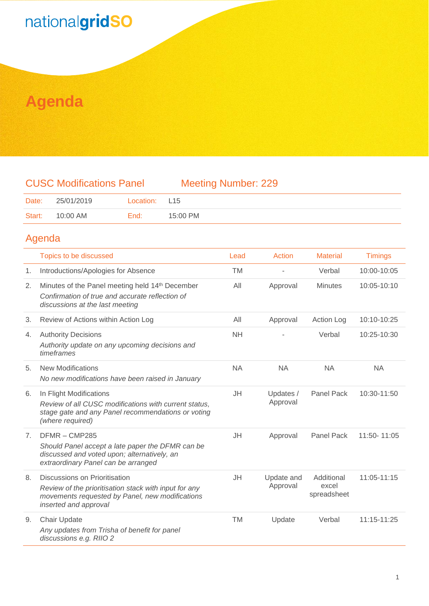## nationalgridSO

### **Agenda**

#### CUSC Modifications Panel Meeting Number: 229

| Date:  | 25/01/2019 | Location: L15 |          |
|--------|------------|---------------|----------|
| Start: | 10:00 AM   | End:          | 15:00 PM |

#### Agenda

|    | Topics to be discussed                                                                                                                                             | Lead      | Action                 | <b>Material</b>                    | <b>Timings</b> |
|----|--------------------------------------------------------------------------------------------------------------------------------------------------------------------|-----------|------------------------|------------------------------------|----------------|
| 1. | Introductions/Apologies for Absence                                                                                                                                | <b>TM</b> |                        | Verbal                             | 10:00-10:05    |
| 2. | Minutes of the Panel meeting held 14th December<br>Confirmation of true and accurate reflection of<br>discussions at the last meeting                              | All       | Approval               | <b>Minutes</b>                     | 10:05-10:10    |
| 3. | Review of Actions within Action Log                                                                                                                                | All       | Approval               | Action Log                         | 10:10-10:25    |
| 4. | <b>Authority Decisions</b><br>Authority update on any upcoming decisions and<br>timeframes                                                                         | <b>NH</b> |                        | Verbal                             | 10:25-10:30    |
| 5. | <b>New Modifications</b><br>No new modifications have been raised in January                                                                                       | <b>NA</b> | <b>NA</b>              | <b>NA</b>                          | <b>NA</b>      |
| 6. | In Flight Modifications<br>Review of all CUSC modifications with current status,<br>stage gate and any Panel recommendations or voting<br>(where required)         | JH        | Updates /<br>Approval  | <b>Panel Pack</b>                  | 10:30-11:50    |
| 7. | DFMR-CMP285<br>Should Panel accept a late paper the DFMR can be<br>discussed and voted upon; alternatively, an<br>extraordinary Panel can be arranged              | JH        | Approval               | Panel Pack                         | 11:50-11:05    |
| 8. | Discussions on Prioritisation<br>Review of the prioritisation stack with input for any<br>movements requested by Panel, new modifications<br>inserted and approval | JH        | Update and<br>Approval | Additional<br>excel<br>spreadsheet | 11:05-11:15    |
| 9. | <b>Chair Update</b><br>Any updates from Trisha of benefit for panel<br>discussions e.g. RIIO 2                                                                     | <b>TM</b> | Update                 | Verbal                             | 11:15-11:25    |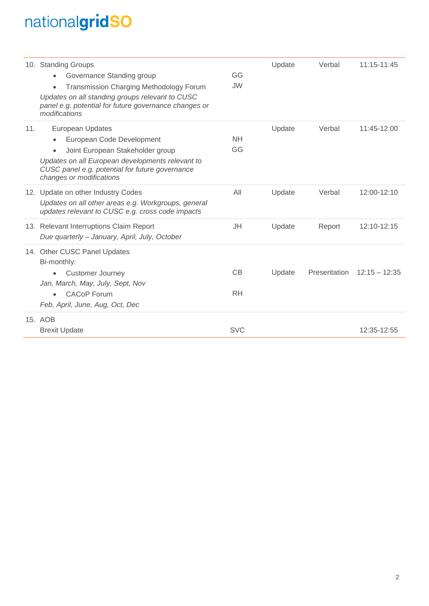# nationalgridSO

|     | 10. Standing Groups<br>Governance Standing group<br><b>Transmission Charging Methodology Forum</b><br>Updates on all standing groups relevant to CUSC<br>panel e.g. potential for future governance changes or<br>modifications          | GG<br>JW.       | Update | Verbal       | 11:15-11:45     |
|-----|------------------------------------------------------------------------------------------------------------------------------------------------------------------------------------------------------------------------------------------|-----------------|--------|--------------|-----------------|
| 11. | <b>European Updates</b><br>European Code Development<br>Joint European Stakeholder group<br>$\bullet$<br>Updates on all European developments relevant to<br>CUSC panel e.g. potential for future governance<br>changes or modifications | <b>NH</b><br>GG | Update | Verbal       | 11:45-12:00     |
|     | 12. Update on other Industry Codes<br>Updates on all other areas e.g. Workgroups, general<br>updates relevant to CUSC e.g. cross code impacts                                                                                            | All             | Update | Verbal       | 12:00-12:10     |
|     | 13. Relevant Interruptions Claim Report<br>Due quarterly - January, April, July, October                                                                                                                                                 | JH              | Update | Report       | 12:10-12:15     |
|     | 14. Other CUSC Panel Updates<br>Bi-monthly:<br><b>Customer Journey</b><br>Jan, March, May, July, Sept, Nov<br><b>CACoP</b> Forum<br>Feb, April, June, Aug, Oct, Dec                                                                      | CB<br><b>RH</b> | Update | Presentation | $12:15 - 12:35$ |
|     | 15. AOB<br><b>Brexit Update</b>                                                                                                                                                                                                          | <b>SVC</b>      |        |              | 12:35-12:55     |